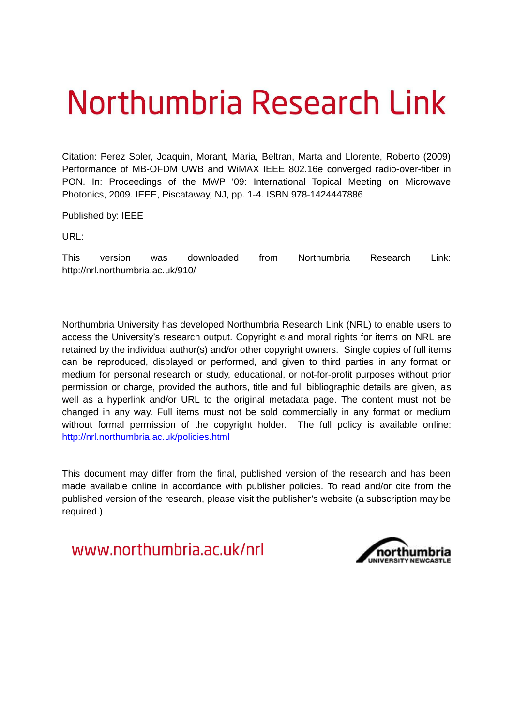# Northumbria Research Link

Citation: Perez Soler, Joaquin, Morant, Maria, Beltran, Marta and Llorente, Roberto (2009) Performance of MB-OFDM UWB and WiMAX IEEE 802.16e converged radio-over-fiber in PON. In: Proceedings of the MWP '09: International Topical Meeting on Microwave Photonics, 2009. IEEE, Piscataway, NJ, pp. 1-4. ISBN 978-1424447886

Published by: IEEE

URL:

This version was downloaded from Northumbria Research Link: http://nrl.northumbria.ac.uk/910/

Northumbria University has developed Northumbria Research Link (NRL) to enable users to access the University's research output. Copyright  $\circ$  and moral rights for items on NRL are retained by the individual author(s) and/or other copyright owners. Single copies of full items can be reproduced, displayed or performed, and given to third parties in any format or medium for personal research or study, educational, or not-for-profit purposes without prior permission or charge, provided the authors, title and full bibliographic details are given, as well as a hyperlink and/or URL to the original metadata page. The content must not be changed in any way. Full items must not be sold commercially in any format or medium without formal permission of the copyright holder. The full policy is available online: <http://nrl.northumbria.ac.uk/policies.html>

This document may differ from the final, published version of the research and has been made available online in accordance with publisher policies. To read and/or cite from the published version of the research, please visit the publisher's website (a subscription may be required.)

www.northumbria.ac.uk/nrl

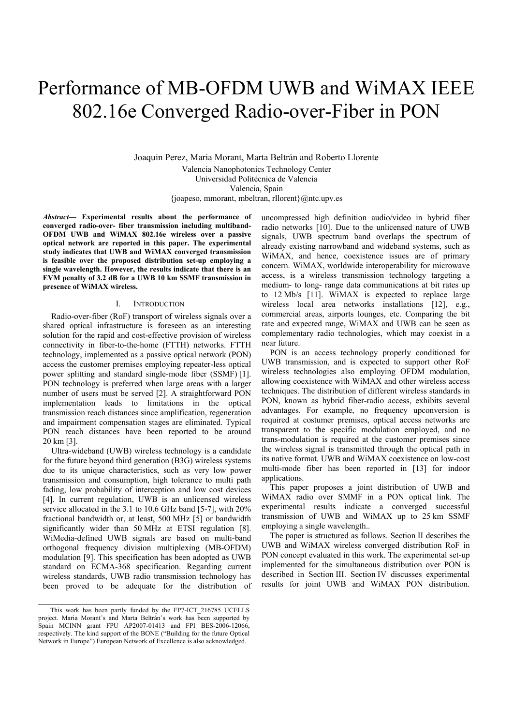## Performance of MB-OFDM UWB and WiMAX IEEE 802.16e Converged Radio-over-Fiber in PON

Joaquin Perez, Maria Morant, Marta Beltrán and Roberto Llorente Valencia Nanophotonics Technology Center Universidad Politécnica de Valencia Valencia, Spain {joapeso, mmorant, mbeltran, rllorent}@ntc.upv.es

*Abstract***— Experimental results about the performance of converged radio-over- fiber transmission including multiband-OFDM UWB and WiMAX 802.16e wireless over a passive optical network are reported in this paper. The experimental study indicates that UWB and WiMAX converged transmission is feasible over the proposed distribution set-up employing a single wavelength. However, the results indicate that there is an EVM penalty of 3.2 dB for a UWB 10 km SSMF transmission in presence of WiMAX wireless.** 

#### I. INTRODUCTION

Radio-over-fiber (RoF) transport of wireless signals over a shared optical infrastructure is foreseen as an interesting solution for the rapid and cost-effective provision of wireless connectivity in fiber-to-the-home (FTTH) networks. FTTH technology, implemented as a passive optical network (PON) access the customer premises employing repeater-less optical power splitting and standard single-mode fiber (SSMF) [1]. PON technology is preferred when large areas with a larger number of users must be served [2]. A straightforward PON implementation leads to limitations in the optical transmission reach distances since amplification, regeneration and impairment compensation stages are eliminated. Typical PON reach distances have been reported to be around 20 km [3].

Ultra-wideband (UWB) wireless technology is a candidate for the future beyond third generation (B3G) wireless systems due to its unique characteristics, such as very low power transmission and consumption, high tolerance to multi path fading, low probability of interception and low cost devices [4]. In current regulation, UWB is an unlicensed wireless service allocated in the 3.1 to 10.6 GHz band [5-7], with 20% fractional bandwidth or, at least, 500 MHz [5] or bandwidth significantly wider than 50 MHz at ETSI regulation [8]. WiMedia-defined UWB signals are based on multi-band orthogonal frequency division multiplexing (MB-OFDM) modulation [9]. This specification has been adopted as UWB standard on ECMA-368 specification. Regarding current wireless standards, UWB radio transmission technology has been proved to be adequate for the distribution of

uncompressed high definition audio/video in hybrid fiber radio networks [10]. Due to the unlicensed nature of UWB signals, UWB spectrum band overlaps the spectrum of already existing narrowband and wideband systems, such as WiMAX, and hence, coexistence issues are of primary concern. WiMAX, worldwide interoperability for microwave access, is a wireless transmission technology targeting a medium- to long- range data communications at bit rates up to 12 Mb/s [11]. WiMAX is expected to replace large wireless local area networks installations [12], e.g., commercial areas, airports lounges, etc. Comparing the bit rate and expected range, WiMAX and UWB can be seen as complementary radio technologies, which may coexist in a near future.

PON is an access technology properly conditioned for UWB transmission, and is expected to support other RoF wireless technologies also employing OFDM modulation, allowing coexistence with WiMAX and other wireless access techniques. The distribution of different wireless standards in PON, known as hybrid fiber-radio access, exhibits several advantages. For example, no frequency upconversion is required at costumer premises, optical access networks are transparent to the specific modulation employed, and no trans-modulation is required at the customer premises since the wireless signal is transmitted through the optical path in its native format. UWB and WiMAX coexistence on low-cost multi-mode fiber has been reported in [13] for indoor applications.

This paper proposes a joint distribution of UWB and WiMAX radio over SMMF in a PON optical link. The experimental results indicate a converged successful transmission of UWB and WiMAX up to 25 km SSMF employing a single wavelength..

The paper is structured as follows. Section II describes the UWB and WiMAX wireless converged distribution RoF in PON concept evaluated in this work. The experimental set-up implemented for the simultaneous distribution over PON is described in Section III. Section IV discusses experimental results for joint UWB and WiMAX PON distribution.

This work has been partly funded by the FP7-ICT\_216785 UCELLS project. Maria Morant's and Marta Beltrán's work has been supported by Spain MCINN grant FPU AP2007-01413 and FPI BES-2006-12066, respectively. The kind support of the BONE ("Building for the future Optical Network in Europe") European Network of Excellence is also acknowledged.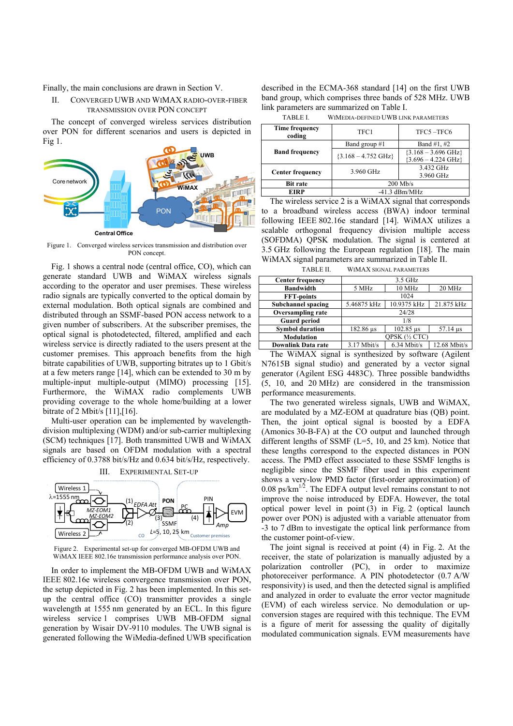Finally, the main conclusions are drawn in Section V.

II. CONVERGED UWB AND WIMAX RADIO-OVER-FIBER TRANSMISSION OVER PON CONCEPT

The concept of converged wireless services distribution over PON for different scenarios and users is depicted in Fig 1.



Figure 1. Converged wireless services transmission and distribution over PON concept.

Fig. 1 shows a central node (central office, CO), which can generate standard UWB and WiMAX wireless signals according to the operator and user premises. These wireless radio signals are typically converted to the optical domain by external modulation. Both optical signals are combined and distributed through an SSMF-based PON access network to a given number of subscribers. At the subscriber premises, the optical signal is photodetected, filtered, amplified and each wireless service is directly radiated to the users present at the customer premises. This approach benefits from the high bitrate capabilities of UWB, supporting bitrates up to 1 Gbit/s at a few meters range [14], which can be extended to 30 m by multiple-input multiple-output (MIMO) processing [15]. Furthermore, the WiMAX radio complements UWB providing coverage to the whole home/building at a lower bitrate of 2 Mbit/s [11],[16].

Multi-user operation can be implemented by wavelengthdivision multiplexing (WDM) and/or sub-carrier multiplexing (SCM) techniques [17]. Both transmitted UWB and WiMAX signals are based on OFDM modulation with a spectral efficiency of 0.3788 bit/s/Hz and 0.634 bit/s/Hz, respectively.



Figure 2. Experimental set-up for converged MB-OFDM UWB and WiMAX IEEE 802.16e transmission performance analysis over PON.

In order to implement the MB-OFDM UWB and WiMAX IEEE 802.16e wireless convergence transmission over PON, the setup depicted in Fig. 2 has been implemented. In this setup the central office (CO) transmitter provides a single wavelength at 1555 nm generated by an ECL. In this figure wireless service 1 comprises UWB MB-OFDM signal generation by Wisair DV-9110 modules. The UWB signal is generated following the WiMedia-defined UWB specification described in the ECMA-368 standard [14] on the first UWB band group, which comprises three bands of 528 MHz. UWB link parameters are summarized on Table I.

| TABLE L<br>WIMEDIA-DEFINED UWB LINK PARAMETERS |  |
|------------------------------------------------|--|
|------------------------------------------------|--|

| Time frequency<br>coding | TFC1                          | TFC5-TFC6                                                      |  |
|--------------------------|-------------------------------|----------------------------------------------------------------|--|
| <b>Band frequency</b>    | Band group #1                 | Band #1, #2                                                    |  |
|                          | ${3.168 - 4.752 \text{ GHz}}$ | ${3.168 - 3.696 \text{ GHz}}$<br>${3.696 - 4.224 \text{ GHz}}$ |  |
| <b>Center frequency</b>  | 3.960 GHz                     | 3.432 GHz<br>3.960 GHz                                         |  |
| <b>Bit rate</b>          | $200$ Mb/s                    |                                                                |  |
| EIRP                     | $-41.3$ dBm/MHz               |                                                                |  |

The wireless service 2 is a WiMAX signal that corresponds to a broadband wireless access (BWA) indoor terminal following IEEE 802.16e standard [14]. WiMAX utilizes a scalable orthogonal frequency division multiple access (SOFDMA) QPSK modulation. The signal is centered at 3.5 GHz following the European regulation [18]. The main WiMAX signal parameters are summarized in Table II.

TABLE II. WIMAX SIGNAL PARAMETERS

| <b>Center frequency</b>   | 3.5 GHz       |               |                       |
|---------------------------|---------------|---------------|-----------------------|
| <b>Bandwidth</b>          | 5 MHz         | 10 MHz        | 20 MHz                |
| <b>FFT-points</b>         | 1024          |               |                       |
| <b>Subchannel spacing</b> | 5.46875 kHz   | 10.9375 kHz   | 21.875 kHz            |
| <b>Oversampling rate</b>  | 24/28         |               |                       |
| <b>Guard period</b>       | 1/8           |               |                       |
| <b>Symbol duration</b>    | 182.86 us     | 102.85 us     | $57.14 \text{ }\mu s$ |
| <b>Modulation</b>         | QPSK (½ CTC)  |               |                       |
| <b>Downlink Data rate</b> | $3.17$ Mbit/s | $6.34$ Mbit/s | $12.68$ Mbit/s        |

The WiMAX signal is synthesized by software (Agilent N7615B signal studio) and generated by a vector signal generator (Agilent ESG 4483C). Three possible bandwidths (5, 10, and 20 MHz) are considered in the transmission performance measurements.

The two generated wireless signals, UWB and WiMAX, are modulated by a MZ-EOM at quadrature bias (QB) point. Then, the joint optical signal is boosted by a EDFA (Amonics 30-B-FA) at the CO output and launched through different lengths of SSMF (L=5, 10, and 25 km). Notice that these lengths correspond to the expected distances in PON access. The PMD effect associated to these SSMF lengths is negligible since the SSMF fiber used in this experiment shows a very-low PMD factor (first-order approximation) of 0.08 ps/ $km^{1/2}$ . The EDFA output level remains constant to not improve the noise introduced by EDFA. However, the total optical power level in point (3) in Fig. 2 (optical launch power over PON) is adjusted with a variable attenuator from -3 to 7 dBm to investigate the optical link performance from the customer point-of-view.

The joint signal is received at point (4) in Fig. 2. At the receiver, the state of polarization is manually adjusted by a polarization controller (PC), in order to maximize photoreceiver performance. A PIN photodetector (0.7 A/W responsivity) is used, and then the detected signal is amplified and analyzed in order to evaluate the error vector magnitude (EVM) of each wireless service. No demodulation or upconversion stages are required with this technique. The EVM is a figure of merit for assessing the quality of digitally modulated communication signals. EVM measurements have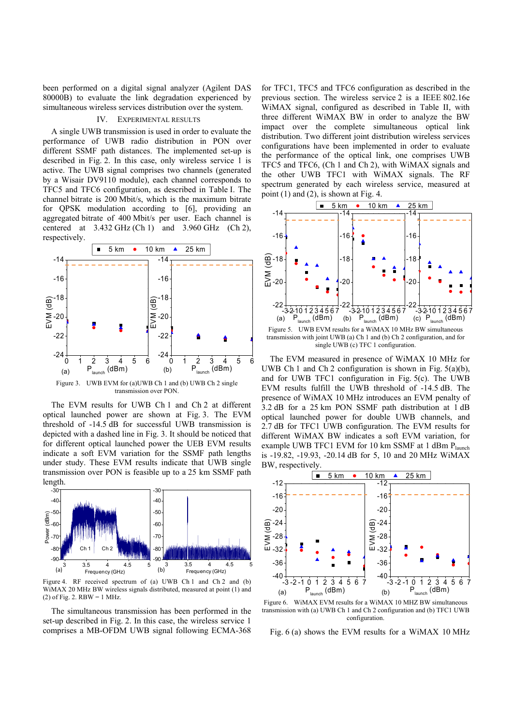been performed on a digital signal analyzer (Agilent DAS 80000B) to evaluate the link degradation experienced by simultaneous wireless services distribution over the system.

### IV. EXPERIMENTAL RESULTS

A single UWB transmission is used in order to evaluate the performance of UWB radio distribution in PON over different SSMF path distances. The implemented set-up is described in Fig. 2. In this case, only wireless service 1 is active. The UWB signal comprises two channels (generated by a Wisair DV9110 module), each channel corresponds to TFC5 and TFC6 configuration, as described in Table I. The channel bitrate is 200 Mbit/s, which is the maximum bitrate for QPSK modulation according to [6], providing an aggregated bitrate of 400 Mbit/s per user. Each channel is centered at  $3.432$  GHz (Ch 1) and  $3.960$  GHz (Ch 2), respectively.



The EVM results for UWB Ch 1 and Ch 2 at different optical launched power are shown at Fig. 3. The EVM threshold of -14.5 dB for successful UWB transmission is depicted with a dashed line in Fig. 3. It should be noticed that for different optical launched power the UEB EVM results indicate a soft EVM variation for the SSMF path lengths under study. These EVM results indicate that UWB single transmission over PON is feasible up to a 25 km SSMF path length.



Figure 4. RF received spectrum of (a) UWB Ch 1 and Ch 2 and (b) WiMAX 20 MHz BW wireless signals distributed, measured at point (1) and  $(2)$  of Fig. 2. RBW = 1 MHz.

The simultaneous transmission has been performed in the set-up described in Fig. 2. In this case, the wireless service 1 comprises a MB-OFDM UWB signal following ECMA-368

for TFC1, TFC5 and TFC6 configuration as described in the previous section. The wireless service 2 is a IEEE 802.16e WiMAX signal, configured as described in Table II, with three different WiMAX BW in order to analyze the BW impact over the complete simultaneous optical link distribution. Two different joint distribution wireless services configurations have been implemented in order to evaluate the performance of the optical link, one comprises UWB TFC5 and TFC6, (Ch 1 and Ch 2), with WiMAX signals and the other UWB TFC1 with WiMAX signals. The RF spectrum generated by each wireless service, measured at point  $(1)$  and  $(2)$ , is shown at Fig. 4.



transmission with joint UWB (a) Ch 1 and (b) Ch 2 configuration, and for single UWB (c) TFC 1 configuration.

The EVM measured in presence of WiMAX 10 MHz for UWB Ch 1 and Ch 2 configuration is shown in Fig.  $5(a)(b)$ , and for UWB TFC1 configuration in Fig. 5(c). The UWB EVM results fulfill the UWB threshold of -14.5 dB. The presence of WiMAX 10 MHz introduces an EVM penalty of 3.2 dB for a 25 km PON SSMF path distribution at 1 dB optical launched power for double UWB channels, and 2.7 dB for TFC1 UWB configuration. The EVM results for different WiMAX BW indicates a soft EVM variation, for example UWB TFC1 EVM for 10 km SSMF at 1 dBm Plaunch is -19.82, -19.93, -20.14 dB for 5, 10 and 20 MHz WiMAX BW, respectively.



Figure 6. WiMAX EVM results for a WiMAX 10 MHZ BW simultaneous transmission with (a) UWB Ch 1 and Ch 2 configuration and (b) TFC1 UWB configuration.

Fig. 6 (a) shows the EVM results for a WiMAX 10 MHz